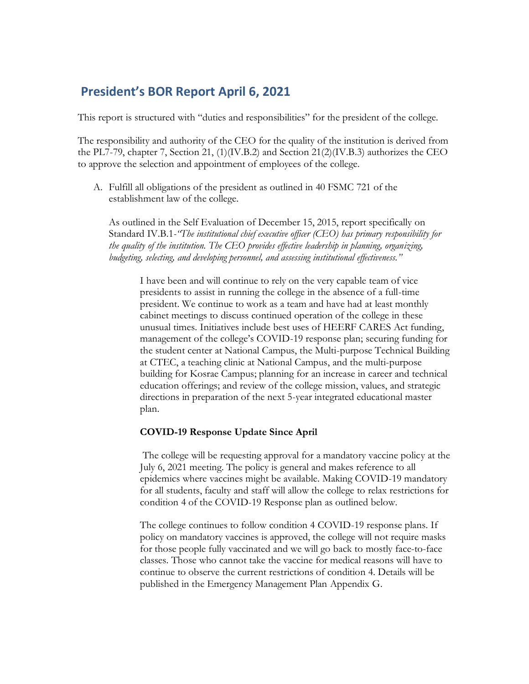## **President's BOR Report April 6, 2021**

This report is structured with "duties and responsibilities" for the president of the college.

The responsibility and authority of the CEO for the quality of the institution is derived from the PL7-79, chapter 7, Section 21, (1)(IV.B.2) and Section 21(2)(IV.B.3) authorizes the CEO to approve the selection and appointment of employees of the college.

A. Fulfill all obligations of the president as outlined in 40 FSMC 721 of the establishment law of the college.

As outlined in the Self Evaluation of December 15, 2015, report specifically on Standard IV.B.1*-"The institutional chief executive officer (CEO) has primary responsibility for the quality of the institution. The CEO provides effective leadership in planning, organizing, budgeting, selecting, and developing personnel, and assessing institutional effectiveness."*

I have been and will continue to rely on the very capable team of vice presidents to assist in running the college in the absence of a full-time president. We continue to work as a team and have had at least monthly cabinet meetings to discuss continued operation of the college in these unusual times. Initiatives include best uses of HEERF CARES Act funding, management of the college's COVID-19 response plan; securing funding for the student center at National Campus, the Multi-purpose Technical Building at CTEC, a teaching clinic at National Campus, and the multi-purpose building for Kosrae Campus; planning for an increase in career and technical education offerings; and review of the college mission, values, and strategic directions in preparation of the next 5-year integrated educational master plan.

## **COVID-19 Response Update Since April**

The college will be requesting approval for a mandatory vaccine policy at the July 6, 2021 meeting. The policy is general and makes reference to all epidemics where vaccines might be available. Making COVID-19 mandatory for all students, faculty and staff will allow the college to relax restrictions for condition 4 of the COVID-19 Response plan as outlined below.

The college continues to follow condition 4 COVID-19 response plans. If policy on mandatory vaccines is approved, the college will not require masks for those people fully vaccinated and we will go back to mostly face-to-face classes. Those who cannot take the vaccine for medical reasons will have to continue to observe the current restrictions of condition 4. Details will be published in the Emergency Management Plan Appendix G.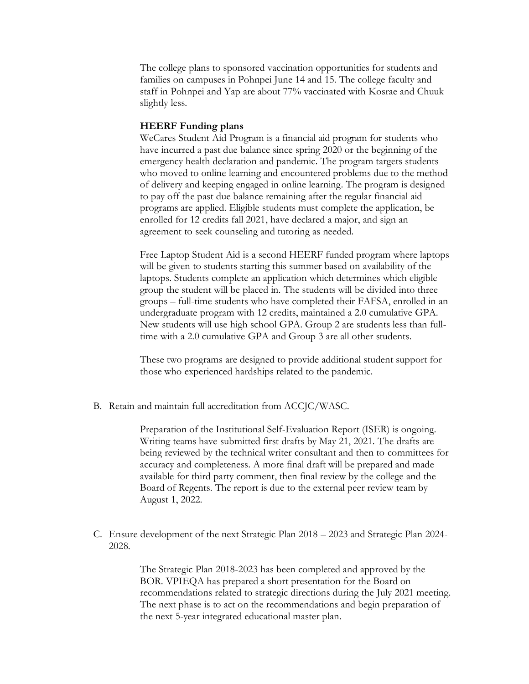The college plans to sponsored vaccination opportunities for students and families on campuses in Pohnpei June 14 and 15. The college faculty and staff in Pohnpei and Yap are about 77% vaccinated with Kosrae and Chuuk slightly less.

## **HEERF Funding plans**

WeCares Student Aid Program is a financial aid program for students who have incurred a past due balance since spring 2020 or the beginning of the emergency health declaration and pandemic. The program targets students who moved to online learning and encountered problems due to the method of delivery and keeping engaged in online learning. The program is designed to pay off the past due balance remaining after the regular financial aid programs are applied. Eligible students must complete the application, be enrolled for 12 credits fall 2021, have declared a major, and sign an agreement to seek counseling and tutoring as needed.

Free Laptop Student Aid is a second HEERF funded program where laptops will be given to students starting this summer based on availability of the laptops. Students complete an application which determines which eligible group the student will be placed in. The students will be divided into three groups – full-time students who have completed their FAFSA, enrolled in an undergraduate program with 12 credits, maintained a 2.0 cumulative GPA. New students will use high school GPA. Group 2 are students less than fulltime with a 2.0 cumulative GPA and Group 3 are all other students.

These two programs are designed to provide additional student support for those who experienced hardships related to the pandemic.

B. Retain and maintain full accreditation from ACCJC/WASC.

Preparation of the Institutional Self-Evaluation Report (ISER) is ongoing. Writing teams have submitted first drafts by May 21, 2021. The drafts are being reviewed by the technical writer consultant and then to committees for accuracy and completeness. A more final draft will be prepared and made available for third party comment, then final review by the college and the Board of Regents. The report is due to the external peer review team by August 1, 2022.

C. Ensure development of the next Strategic Plan 2018 – 2023 and Strategic Plan 2024- 2028.

> The Strategic Plan 2018-2023 has been completed and approved by the BOR. VPIEQA has prepared a short presentation for the Board on recommendations related to strategic directions during the July 2021 meeting. The next phase is to act on the recommendations and begin preparation of the next 5-year integrated educational master plan.